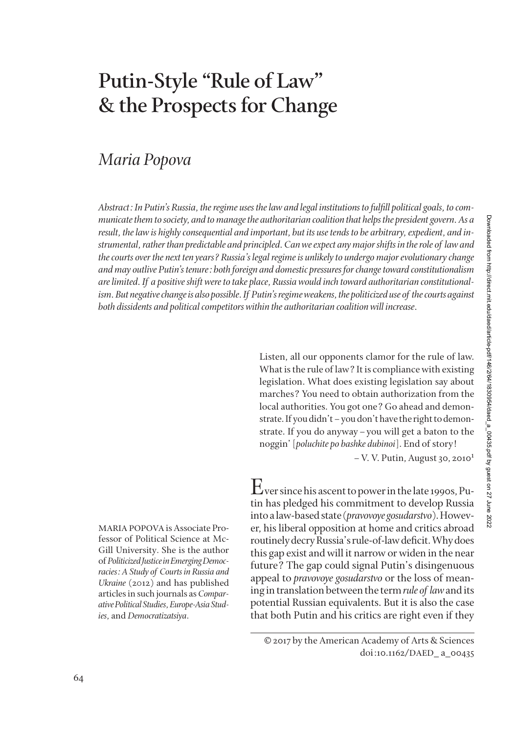## **Putin-Style "Rule of Law" & the Prospects for Change**

## *Maria Popova*

*Abstract: In Putin's Russia, the regime uses the law and legal institutions to fulfill political goals, to communicate them to society, and to manage the authoritarian coalition that helps the president govern. As a result, the law is highly consequential and important, but its use tends to be arbitrary, expedient, and instrumental, rather than predictable and principled. Can we expect any major shifts in the role of law and the courts over the next ten years? Russia's legal regime is unlikely to undergo major evolutionary change and may outlive Putin's tenure: both foreign and domestic pressures for change toward constitutionalism are limited. If a positive shift were to take place, Russia would inch toward authoritarian constitutional*ism. But negative change is also possible. If Putin's regime weakens, the politicized use of the courts against *both dissidents and political competitors within the authoritarian coalition will increase.*

> Listen, all our opponents clamor for the rule of law. What is the rule of law? It is compliance with existing legislation. What does existing legislation say about marches? You need to obtain authorization from the local authorities. You got one? Go ahead and demonstrate. If you didn't–you don't have the right to demonstrate. If you do anyway–you will get a baton to the noggin' [*poluchite po bashke dubinoi*]. End of story!

 $-V. V.$  Putin, August 30, 2010<sup>1</sup>

MARIA POPOVA is Associate Professor of Political Science at Mc-Gill University. She is the author of *Politicized Justice in Emerging Democracies: A Study of Courts in Russia and Ukraine* (2012) and has published articles in such journals as *Comparative Political Studies*, *Europe-Asia Studies*, and *Democratizatsiya*.

 $E$  ver since his ascent to power in the late 1990s, Putin has pledged his commitment to develop Russia into a law-based state (*pravovoye gosudarstvo*). However, his liberal opposition at home and critics abroad routinely decry Russia's rule-of-law deficit. Why does this gap exist and will it narrow or widen in the near future? The gap could signal Putin's disingenuous appeal to *pravovoye gosudarstvo* or the loss of meaning in translation between the term *rule of law* and its potential Russian equivalents. But it is also the case that both Putin and his critics are right even if they

<sup>© 2017</sup> by the American Academy of Arts & Sciences doi:10.1162/DAED\_ a\_00435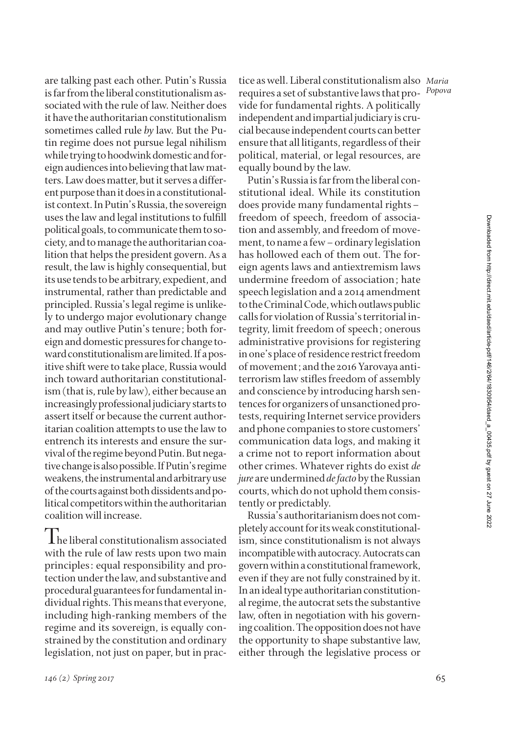are talking past each other. Putin's Russia is far from the liberal constitutionalism associated with the rule of law. Neither does it have the authoritarian constitutionalism sometimes called rule *by* law. But the Putin regime does not pursue legal nihilism while trying to hoodwink domestic and foreign audiences into believing that law matters. Law does matter, but it serves a different purpose than it does in a constitutionalist context. In Putin's Russia, the sovereign uses the law and legal institutions to fulfill political goals, to communicate them to society, and to manage the authoritarian coalition that helps the president govern. As a result, the law is highly consequential, but its use tends to be arbitrary, expedient, and instrumental, rather than predictable and principled. Russia's legal regime is unlikely to undergo major evolutionary change and may outlive Putin's tenure; both foreign and domestic pressures for change toward constitutionalism are limited. If a positive shift were to take place, Russia would inch toward authoritarian constitutionalism (that is, rule by law), either because an increasingly professional judiciary starts to assert itself or because the current authoritarian coalition attempts to use the law to entrench its interests and ensure the survival of the regime beyond Putin. But negative change is also possible. If Putin's regime weakens, the instrumental and arbitrary use of the courts against both dissidents and political competitors within the authoritarian coalition will increase.

The liberal constitutionalism associated with the rule of law rests upon two main principles: equal responsibility and protection under the law, and substantive and procedural guarantees for fundamental individual rights. This means that everyone, including high-ranking members of the regime and its sovereign, is equally constrained by the constitution and ordinary legislation, not just on paper, but in prac-

*Maria*  tice as well. Liberal constitutionalism also *Popova* requires a set of substantive laws that provide for fundamental rights. A politically independent and impartial judiciary is crucial because independent courts can better ensure that all litigants, regardless of their political, material, or legal resources, are equally bound by the law.

Putin's Russia is far from the liberal constitutional ideal. While its constitution does provide many fundamental rights– freedom of speech, freedom of association and assembly, and freedom of movement, to name a few–ordinary legislation has hollowed each of them out. The foreign agents laws and antiextremism laws undermine freedom of association; hate speech legislation and a 2014 amendment to the Criminal Code, which outlaws public calls for violation of Russia's territorial integrity, limit freedom of speech; onerous administrative provisions for registering in one's place of residence restrict freedom of movement; and the 2016 Yarovaya antiterrorism law stifles freedom of assembly and conscience by introducing harsh sentences for organizers of unsanctioned protests, requiring Internet service providers and phone companies to store customers' communication data logs, and making it a crime not to report information about other crimes. Whatever rights do exist *de jure* are undermined *de facto* by the Russian courts, which do not uphold them consistently or predictably.

Russia's authoritarianism does not completely account for its weak constitutionalism, since constitutionalism is not always incompatible with autocracy. Autocrats can govern within a constitutional framework, even if they are not fully constrained by it. In an ideal type authoritarian constitutional regime, the autocrat sets the substantive law, often in negotiation with his governing coalition. The opposition does not have the opportunity to shape substantive law, either through the legislative process or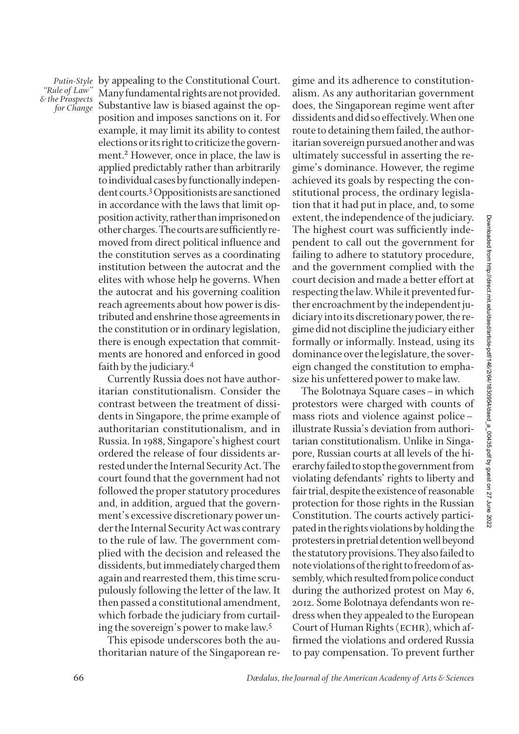*Putin-Style*  by appealing to the Constitutional Court. Many fundamental rights are not provided. Substantive law is biased against the opposition and imposes sanctions on it. For example, it may limit its ability to contest elections or its right to criticize the government.<sup>2</sup> However, once in place, the law is applied predictably rather than arbitrarily to individual cases by functionally independent courts.3 Oppositionists are sanctioned in accordance with the laws that limit opposition activity, rather than imprisoned on other charges. The courts are sufficiently removed from direct political influence and the constitution serves as a coordinating institution between the autocrat and the elites with whose help he governs. When the autocrat and his governing coalition reach agreements about how power is distributed and enshrine those agreements in the constitution or in ordinary legislation, there is enough expectation that commitments are honored and enforced in good faith by the judiciary.4

Currently Russia does not have authoritarian constitutionalism. Consider the contrast between the treatment of dissidents in Singapore, the prime example of authoritarian constitutionalism, and in Russia. In 1988, Singapore's highest court ordered the release of four dissidents arrested under the Internal Security Act. The court found that the government had not followed the proper statutory procedures and, in addition, argued that the government's excessive discretionary power under the Internal Security Act was contrary to the rule of law. The government complied with the decision and released the dissidents, but immediately charged them again and rearrested them, this time scrupulously following the letter of the law. It then passed a constitutional amendment, which forbade the judiciary from curtailing the sovereign's power to make law.5

This episode underscores both the authoritarian nature of the Singaporean regime and its adherence to constitutionalism. As any authoritarian government does, the Singaporean regime went after dissidents and did so effectively. When one route to detaining them failed, the authoritarian sovereign pursued another and was ultimately successful in asserting the regime's dominance. However, the regime achieved its goals by respecting the constitutional process, the ordinary legislation that it had put in place, and, to some extent, the independence of the judiciary. The highest court was sufficiently independent to call out the government for failing to adhere to statutory procedure, and the government complied with the court decision and made a better effort at respecting the law. While it prevented further encroachment by the independent judiciary into its discretionary power, the regime did not discipline the judiciary either formally or informally. Instead, using its dominance over the legislature, the sovereign changed the constitution to emphasize his unfettered power to make law.

The Bolotnaya Square cases–in which protestors were charged with counts of mass riots and violence against police– illustrate Russia's deviation from authoritarian constitutionalism. Unlike in Singapore, Russian courts at all levels of the hierarchy failed to stop the government from violating defendants' rights to liberty and fair trial, despite the existence of reasonable protection for those rights in the Russian Constitution. The courts actively participated in the rights violations by holding the protesters in pretrial detention well beyond the statutory provisions. They also failed to note violations of the right to freedom of assembly, which resulted from police conduct during the authorized protest on May 6, 2012. Some Bolotnaya defendants won redress when they appealed to the European Court of Human Rights (ECHR), which affirmed the violations and ordered Russia to pay compensation. To prevent further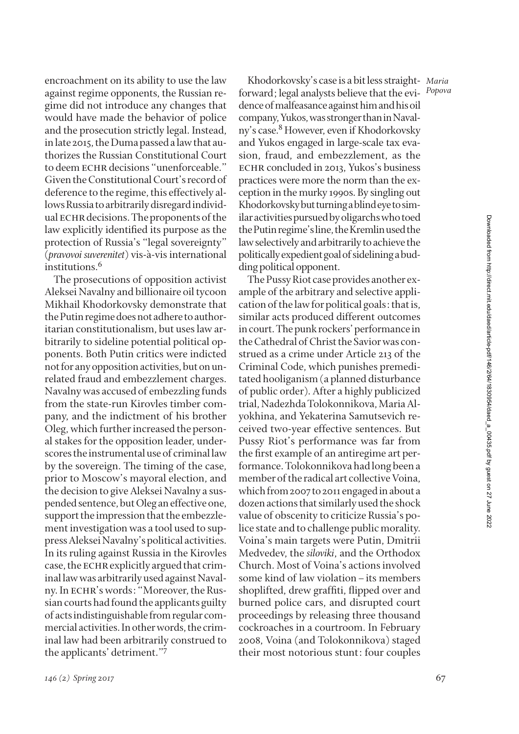Downloaded from http://direct.mit.edu/daed/article-pdf/146/2/64/1830954/daed\_a\_00435.pdf by guest on 27 June 2022 Downloaded from http://direct.mit.edu/daed/article-pdf/146/2/64/1830954/daed\_a\_00435.pdf by guest on 27 June 2022

encroachment on its ability to use the law against regime opponents, the Russian regime did not introduce any changes that would have made the behavior of police and the prosecution strictly legal. Instead, in late 2015, the Duma passed a law that authorizes the Russian Constitutional Court to deem ECHR decisions "unenforceable." Given the Constitutional Court's record of deference to the regime, this effectively allows Russia to arbitrarily disregard individual ECHR decisions. The proponents of the law explicitly identified its purpose as the protection of Russia's "legal sovereignty" (*pravovoi suverenitet*) vis-à-vis international institutions.6

The prosecutions of opposition activist Aleksei Navalny and billionaire oil tycoon Mikhail Khodorkovsky demonstrate that the Putin regime does not adhere to authoritarian constitutionalism, but uses law arbitrarily to sideline potential political opponents. Both Putin critics were indicted not for any opposition activities, but on unrelated fraud and embezzlement charges. Navalny was accused of embezzling funds from the state-run Kirovles timber company, and the indictment of his brother Oleg, which further increased the personal stakes for the opposition leader, underscores the instrumental use of criminal law by the sovereign. The timing of the case, prior to Moscow's mayoral election, and the decision to give Aleksei Navalny a suspended sentence, but Oleg an effective one, support the impression that the embezzlement investigation was a tool used to suppress Aleksei Navalny's political activities. In its ruling against Russia in the Kirovles case, the ECHR explicitly argued that criminal law was arbitrarily used against Navalny. In echr's words: "Moreover, the Russian courts had found the applicants guilty of acts indistinguishable from regular commercial activities. In other words, the criminal law had been arbitrarily construed to the applicants' detriment."7

Khodorkovsky's case is a bit less straight- Maria *Popova* forward; legal analysts believe that the evidence of malfeasance against him and his oil company, Yukos, was stronger than in Navalny's case.<sup>8</sup> However, even if Khodorkovsky and Yukos engaged in large-scale tax evasion, fraud, and embezzlement, as the ECHR concluded in 2013, Yukos's business practices were more the norm than the exception in the murky 1990s. By singling out Khodorkovsky but turning a blind eye to similar activities pursued by oligarchs who toed the Putin regime's line, the Kremlin used the law selectively and arbitrarily to achieve the politically expedient goal of sidelining a budding political opponent.

The Pussy Riot case provides another example of the arbitrary and selective application of the law for political goals: that is, similar acts produced different outcomes in court. The punk rockers' performance in the Cathedral of Christ the Savior was construed as a crime under Article 213 of the Criminal Code, which punishes premeditated hooliganism (a planned disturbance of public order). After a highly publicized trial, Nadezhda Tolokonnikova, Maria Alyokhina, and Yekaterina Samutsevich received two-year effective sentences. But Pussy Riot's performance was far from the first example of an antiregime art performance. Tolokonnikova had long been a member of the radical art collective Voina, which from 2007 to 2011 engaged in about a dozen actions that similarly used the shock value of obscenity to criticize Russia's police state and to challenge public morality. Voina's main targets were Putin, Dmitrii Medvedev, the *siloviki*, and the Orthodox Church. Most of Voina's actions involved some kind of law violation–its members shoplifted, drew graffiti, flipped over and burned police cars, and disrupted court proceedings by releasing three thousand cockroaches in a courtroom. In February 2008, Voina (and Tolokonnikova) staged their most notorious stunt: four couples

*146 (2) Spring 2017* 67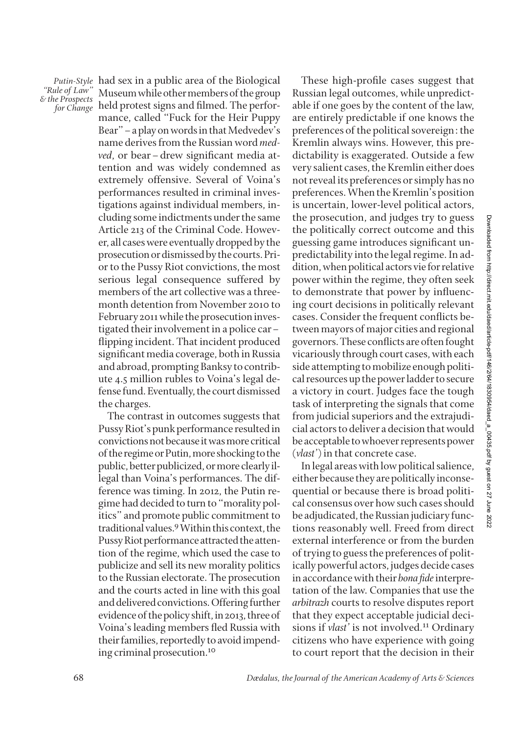*Putin-Style*  had sex in a public area of the Biological Museum while other members of the group held protest signs and filmed. The performance, called "Fuck for the Heir Puppy Bear"–a play on words in that Medvedev's name derives from the Russian word *medved*, or bear–drew significant media attention and was widely condemned as extremely offensive. Several of Voina's performances resulted in criminal investigations against individual members, including some indictments under the same Article 213 of the Criminal Code. However, all cases were eventually dropped by the prosecution or dismissed by the courts. Prior to the Pussy Riot convictions, the most serious legal consequence suffered by members of the art collective was a threemonth detention from November 2010 to February 2011 while the prosecution investigated their involvement in a police car – flipping incident. That incident produced significant media coverage, both in Russia and abroad, prompting Banksy to contribute 4.5 million rubles to Voina's legal defense fund. Eventually, the court dismissed the charges.

The contrast in outcomes suggests that Pussy Riot's punk performance resulted in convictions not because it was more critical of the regime or Putin, more shocking to the public, better publicized, or more clearly illegal than Voina's performances. The difference was timing. In 2012, the Putin regime had decided to turn to "morality politics" and promote public commitment to traditional values.9 Within this context, the Pussy Riot performance attracted the attention of the regime, which used the case to publicize and sell its new morality politics to the Russian electorate. The prosecution and the courts acted in line with this goal and delivered convictions. Offering further evidence of the policy shift, in 2013, three of Voina's leading members fled Russia with their families, reportedly to avoid impending criminal prosecution.10

These high-profile cases suggest that Russian legal outcomes, while unpredictable if one goes by the content of the law, are entirely predictable if one knows the preferences of the political sovereign: the Kremlin always wins. However, this predictability is exaggerated. Outside a few very salient cases, the Kremlin either does not reveal its preferences or simply has no preferences. When the Kremlin's position is uncertain, lower-level political actors, the prosecution, and judges try to guess the politically correct outcome and this guessing game introduces significant unpredictability into the legal regime. In addition, when political actors vie for relative power within the regime, they often seek to demonstrate that power by influencing court decisions in politically relevant cases. Consider the frequent conflicts between mayors of major cities and regional governors. These conflicts are often fought vicariously through court cases, with each side attempting to mobilize enough political resources up the power ladder to secure a victory in court. Judges face the tough task of interpreting the signals that come from judicial superiors and the extrajudicial actors to deliver a decision that would be acceptable to whoever represents power (*vlast'*) in that concrete case.

In legal areas with low political salience, either because they are politically inconsequential or because there is broad political consensus over how such cases should be adjudicated, the Russian judiciary functions reasonably well. Freed from direct external interference or from the burden of trying to guess the preferences of politically powerful actors, judges decide cases in accordance with their *bona fide* interpretation of the law. Companies that use the *arbitrazh* courts to resolve disputes report that they expect acceptable judicial decisions if *vlast'* is not involved.<sup>11</sup> Ordinary citizens who have experience with going to court report that the decision in their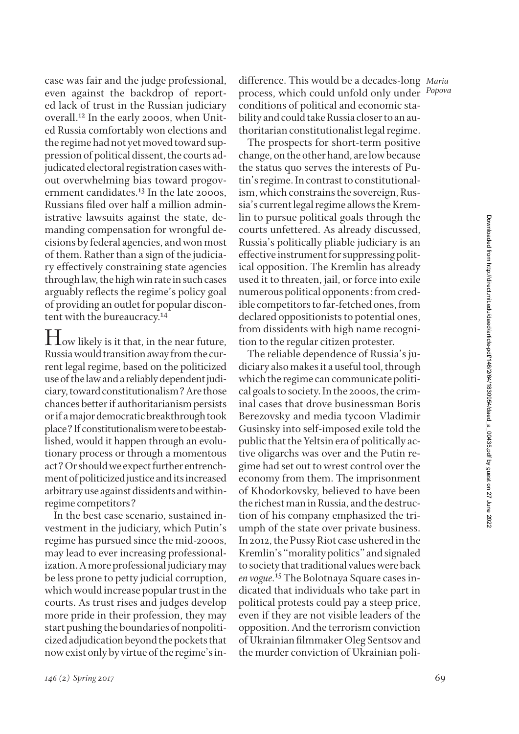case was fair and the judge professional, even against the backdrop of reported lack of trust in the Russian judiciary overall.12 In the early 2000s, when United Russia comfortably won elections and the regime had not yet moved toward suppression of political dissent, the courts adjudicated electoral registration cases without overwhelming bias toward progovernment candidates.<sup>13</sup> In the late 2000s, Russians filed over half a million administrative lawsuits against the state, demanding compensation for wrongful decisions by federal agencies, and won most of them. Rather than a sign of the judiciary effectively constraining state agencies through law, the high win rate in such cases arguably reflects the regime's policy goal of providing an outlet for popular discontent with the bureaucracy.14

How likely is it that, in the near future, Russia would transition away from the current legal regime, based on the politicized use of the law and a reliably dependent judiciary, toward constitutionalism? Are those chances better if authoritarianism persists or if a major democratic breakthrough took place? If constitutionalism were to be established, would it happen through an evolutionary process or through a momentous act? Or should we expect further entrenchment of politicized justice and its increased arbitrary use against dissidents and withinregime competitors?

In the best case scenario, sustained investment in the judiciary, which Putin's regime has pursued since the mid-2000s, may lead to ever increasing professionalization. A more professional judiciary may be less prone to petty judicial corruption, which would increase popular trust in the courts. As trust rises and judges develop more pride in their profession, they may start pushing the boundaries of nonpoliticized adjudication beyond the pockets that now exist only by virtue of the regime's in-

difference. This would be a decades-long Maria *Popova* process, which could unfold only under conditions of political and economic stability and could take Russia closer to an authoritarian constitutionalist legal regime.

The prospects for short-term positive change, on the other hand, are low because the status quo serves the interests of Putin's regime. In contrast to constitutionalism, which constrains the sovereign, Russia's current legal regime allows the Kremlin to pursue political goals through the courts unfettered. As already discussed, Russia's politically pliable judiciary is an effective instrument for suppressing political opposition. The Kremlin has already used it to threaten, jail, or force into exile numerous political opponents: from credible competitors to far-fetched ones, from declared oppositionists to potential ones, from dissidents with high name recognition to the regular citizen protester.

The reliable dependence of Russia's judiciary also makes it a useful tool, through which the regime can communicate political goals to society. In the 2000s, the criminal cases that drove businessman Boris Berezovsky and media tycoon Vladimir Gusinsky into self-imposed exile told the public that the Yeltsin era of politically active oligarchs was over and the Putin regime had set out to wrest control over the economy from them. The imprisonment of Khodorkovsky, believed to have been the richest man in Russia, and the destruction of his company emphasized the triumph of the state over private business. In 2012, the Pussy Riot case ushered in the Kremlin's "morality politics" and signaled to society that traditional values were back *en vogue.*15 The Bolotnaya Square cases indicated that individuals who take part in political protests could pay a steep price, even if they are not visible leaders of the opposition. And the terrorism conviction of Ukrainian filmmaker Oleg Sentsov and the murder conviction of Ukrainian poli-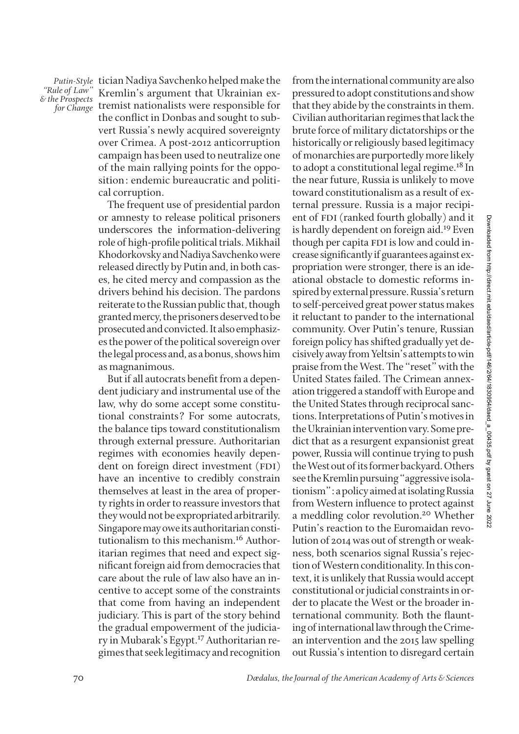*Putin-Style*  tician Nadiya Savchenko helped make the Kremlin's argument that Ukrainian extremist nationalists were responsible for the conflict in Donbas and sought to subvert Russia's newly acquired sovereignty over Crimea. A post-2012 anticorruption campaign has been used to neutralize one of the main rallying points for the opposition: endemic bureaucratic and political corruption.

> The frequent use of presidential pardon or amnesty to release political prisoners underscores the information-delivering role of high-profile political trials. Mikhail Khodorkovsky and Nadiya Savchenko were released directly by Putin and, in both cases, he cited mercy and compassion as the drivers behind his decision. The pardons reiterate to the Russian public that, though granted mercy, the prisoners deserved to be prosecuted and convicted. It also emphasizes the power of the political sovereign over the legal process and, as a bonus, shows him as magnanimous.

> But if all autocrats benefit from a dependent judiciary and instrumental use of the law, why do some accept some constitutional constraints? For some autocrats, the balance tips toward constitutionalism through external pressure. Authoritarian regimes with economies heavily dependent on foreign direct investment (FDI) have an incentive to credibly constrain themselves at least in the area of property rights in order to reassure investors that they would not be expropriated arbitrarily. Singapore may owe its authoritarian constitutionalism to this mechanism.16 Authoritarian regimes that need and expect significant foreign aid from democracies that care about the rule of law also have an incentive to accept some of the constraints that come from having an independent judiciary. This is part of the story behind the gradual empowerment of the judiciary in Mubarak's Egypt.<sup>17</sup> Authoritarian regimes that seek legitimacy and recognition

from the international community are also pressured to adopt constitutions and show that they abide by the constraints in them. Civilian authoritarian regimes that lack the brute force of military dictatorships or the historically or religiously based legitimacy of monarchies are purportedly more likely to adopt a constitutional legal regime.<sup>18</sup> In the near future, Russia is unlikely to move toward constitutionalism as a result of external pressure. Russia is a major recipient of FDI (ranked fourth globally) and it is hardly dependent on foreign aid.19 Even though per capita FDI is low and could increase significantly if guarantees against expropriation were stronger, there is an ideational obstacle to domestic reforms inspired by external pressure. Russia's return to self-perceived great power status makes it reluctant to pander to the international community. Over Putin's tenure, Russian foreign policy has shifted gradually yet decisively away from Yeltsin's attempts to win praise from the West. The "reset" with the United States failed. The Crimean annexation triggered a standoff with Europe and the United States through reciprocal sanctions. Interpretations of Putin's motives in the Ukrainian intervention vary. Some predict that as a resurgent expansionist great power, Russia will continue trying to push the West out of its former backyard. Others see the Kremlin pursuing "aggressive isolationism": a policy aimed at isolating Russia from Western influence to protect against a meddling color revolution.20 Whether Putin's reaction to the Euromaidan revolution of 2014 was out of strength or weakness, both scenarios signal Russia's rejection of Western conditionality. In this context, it is unlikely that Russia would accept constitutional or judicial constraints in order to placate the West or the broader international community. Both the flaunting of international law through the Crimean intervention and the 2015 law spelling out Russia's intention to disregard certain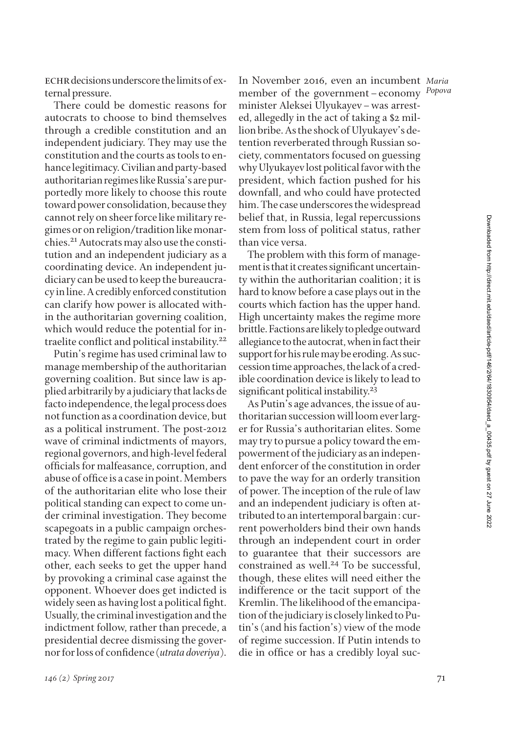echr decisions underscore the limits of external pressure.

There could be domestic reasons for autocrats to choose to bind themselves through a credible constitution and an independent judiciary. They may use the constitution and the courts as tools to enhance legitimacy. Civilian and party-based authoritarian regimes like Russia's are purportedly more likely to choose this route toward power consolidation, because they cannot rely on sheer force like military regimes or on religion/tradition like monarchies.21 Autocrats may also use the constitution and an independent judiciary as a coordinating device. An independent judiciary can be used to keep the bureaucracy in line. A credibly enforced constitution can clarify how power is allocated within the authoritarian governing coalition, which would reduce the potential for intraelite conflict and political instability.<sup>22</sup>

Putin's regime has used criminal law to manage membership of the authoritarian governing coalition. But since law is applied arbitrarily by a judiciary that lacks de facto independence, the legal process does not function as a coordination device, but as a political instrument. The post-2012 wave of criminal indictments of mayors, regional governors, and high-level federal officials for malfeasance, corruption, and abuse of office is a case in point. Members of the authoritarian elite who lose their political standing can expect to come under criminal investigation. They become scapegoats in a public campaign orchestrated by the regime to gain public legitimacy. When different factions fight each other, each seeks to get the upper hand by provoking a criminal case against the opponent. Whoever does get indicted is widely seen as having lost a political fight. Usually, the criminal investigation and the indictment follow, rather than precede, a presidential decree dismissing the governor for loss of confidence (*utrata doveriya*).

In November 2016, even an incumbent Maria *Popova* member of the government–economy minister Aleksei Ulyukayev–was arrested, allegedly in the act of taking a \$2 million bribe. As the shock of Ulyukayev's detention reverberated through Russian society, commentators focused on guessing why Ulyukayev lost political favor with the president, which faction pushed for his downfall, and who could have protected him. The case underscores the widespread belief that, in Russia, legal repercussions stem from loss of political status, rather than vice versa.

The problem with this form of management is that it creates significant uncertainty within the authoritarian coalition; it is hard to know before a case plays out in the courts which faction has the upper hand. High uncertainty makes the regime more brittle. Factions are likely to pledge outward allegiance to the autocrat, when in fact their support for his rule may be eroding. As succession time approaches, the lack of a credible coordination device is likely to lead to significant political instability.<sup>23</sup>

As Putin's age advances, the issue of authoritarian succession will loom ever larger for Russia's authoritarian elites. Some may try to pursue a policy toward the empowerment of the judiciary as an independent enforcer of the constitution in order to pave the way for an orderly transition of power. The inception of the rule of law and an independent judiciary is often attributed to an intertemporal bargain: current powerholders bind their own hands through an independent court in order to guarantee that their successors are constrained as well.<sup>24</sup> To be successful, though, these elites will need either the indifference or the tacit support of the Kremlin. The likelihood of the emancipation of the judiciary is closely linked to Putin's (and his faction's) view of the mode of regime succession. If Putin intends to die in office or has a credibly loyal suc-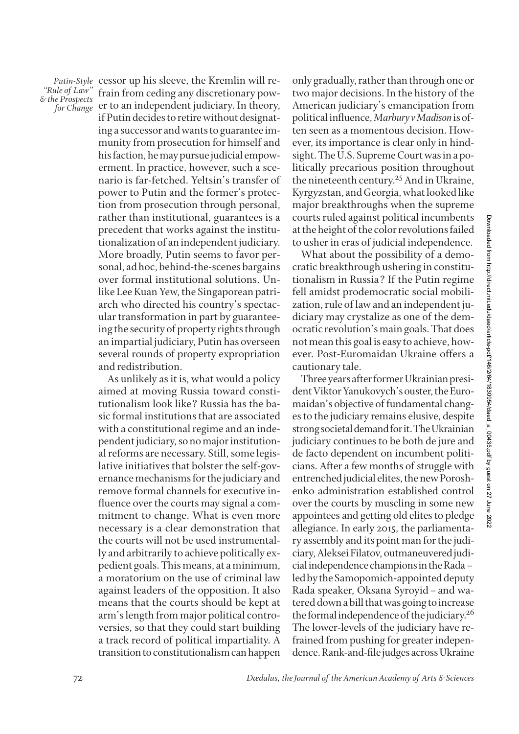*Putin-Style*  cessor up his sleeve, the Kremlin will refrain from ceding any discretionary power to an independent judiciary. In theory,

if Putin decides to retire without designating a successor and wants to guarantee immunity from prosecution for himself and his faction, he may pursue judicial empowerment. In practice, however, such a scenario is far-fetched. Yeltsin's transfer of power to Putin and the former's protection from prosecution through personal, rather than institutional, guarantees is a precedent that works against the institutionalization of an independent judiciary. More broadly, Putin seems to favor personal, ad hoc, behind-the-scenes bargains over formal institutional solutions. Unlike Lee Kuan Yew, the Singaporean patriarch who directed his country's spectacular transformation in part by guaranteeing the security of property rights through an impartial judiciary, Putin has overseen several rounds of property expropriation and redistribution.

As unlikely as it is, what would a policy aimed at moving Russia toward constitutionalism look like? Russia has the basic formal institutions that are associated with a constitutional regime and an independent judiciary, so no major institutional reforms are necessary. Still, some legislative initiatives that bolster the self-governance mechanisms for the judiciary and remove formal channels for executive influence over the courts may signal a commitment to change. What is even more necessary is a clear demonstration that the courts will not be used instrumentally and arbitrarily to achieve politically expedient goals. This means, at a minimum, a moratorium on the use of criminal law against leaders of the opposition. It also means that the courts should be kept at arm's length from major political controversies, so that they could start building a track record of political impartiality. A transition to constitutionalism can happen

only gradually, rather than through one or two major decisions. In the history of the American judiciary's emancipation from political influence, *Marbury v Madison* is often seen as a momentous decision. However, its importance is clear only in hindsight. The U.S. Supreme Court was in a politically precarious position throughout the nineteenth century.25 And in Ukraine, Kyrgyzstan, and Georgia, what looked like major breakthroughs when the supreme courts ruled against political incumbents at the height of the color revolutions failed to usher in eras of judicial independence.

What about the possibility of a democratic breakthrough ushering in constitutionalism in Russia? If the Putin regime fell amidst prodemocratic social mobilization, rule of law and an independent judiciary may crystalize as one of the democratic revolution's main goals. That does not mean this goal is easy to achieve, however. Post-Euromaidan Ukraine offers a cautionary tale.

Three years after former Ukrainian president Viktor Yanukovych's ouster, the Euromaidan's objective of fundamental changes to the judiciary remains elusive, despite strong societal demand for it. The Ukrainian judiciary continues to be both de jure and de facto dependent on incumbent politicians. After a few months of struggle with entrenched judicial elites, the new Poroshenko administration established control over the courts by muscling in some new appointees and getting old elites to pledge allegiance. In early 2015, the parliamentary assembly and its point man for the judiciary, Aleksei Filatov, outmaneuvered judicial independence champions in the Rada– led by the Samopomich-appointed deputy Rada speaker, Oksana Syroyid–and watered down a bill that was going to increase the formal independence of the judiciary.26 The lower-levels of the judiciary have refrained from pushing for greater independence. Rank-and-file judges across Ukraine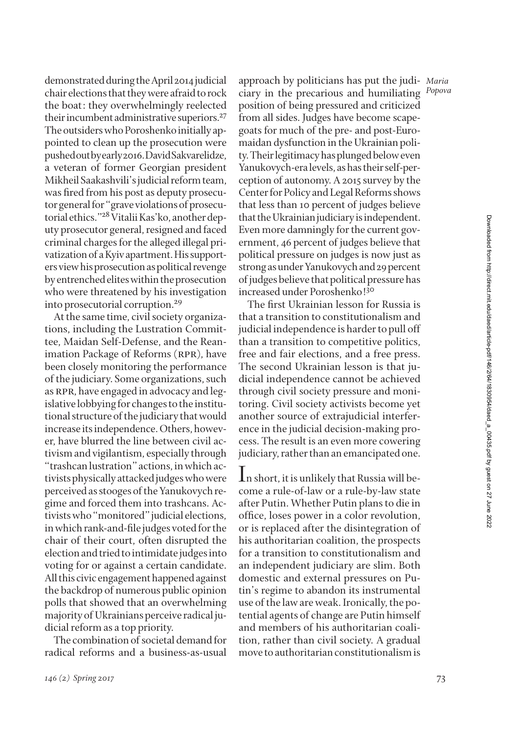demonstrated during the April 2014 judicial chair elections that they were afraid to rock the boat: they overwhelmingly reelected their incumbent administrative superiors.<sup>27</sup> The outsiders who Poroshenko initially appointed to clean up the prosecution were pushed out by early 2016. David Sakvarelidze, a veteran of former Georgian president Mikheil Saakashvili's judicial reform team, was fired from his post as deputy prosecutor general for "grave violations of prosecutorial ethics."28 Vitalii Kas'ko, another deputy prosecutor general, resigned and faced criminal charges for the alleged illegal privatization of a Kyiv apartment. His supporters view his prosecution as political revenge by entrenched elites within the prosecution who were threatened by his investigation into prosecutorial corruption.29

At the same time, civil society organizations, including the Lustration Committee, Maidan Self-Defense, and the Reanimation Package of Reforms (RPR), have been closely monitoring the performance of the judiciary. Some organizations, such as RPR, have engaged in advocacy and legislative lobbying for changes to the institutional structure of the judiciary that would increase its independence. Others, however, have blurred the line between civil activism and vigilantism, especially through "trashcan lustration" actions, in which activists physically attacked judges who were perceived as stooges of the Yanukovych regime and forced them into trashcans. Activists who "monitored" judicial elections, in which rank-and-file judges voted for the chair of their court, often disrupted the election and tried to intimidate judges into voting for or against a certain candidate. All this civic engagement happened against the backdrop of numerous public opinion polls that showed that an overwhelming majority of Ukrainians perceive radical judicial reform as a top priority.

The combination of societal demand for radical reforms and a business-as-usual

approach by politicians has put the judi- Maria ciary in the precarious and humiliating position of being pressured and criticized from all sides. Judges have become scapegoats for much of the pre- and post-Euromaidan dysfunction in the Ukrainian polity. Their legitimacy has plunged below even Yanukovych-era levels, as has their self-perception of autonomy. A 2015 survey by the Center for Policy and Legal Reforms shows that less than 10 percent of judges believe that the Ukrainian judiciary is independent. Even more damningly for the current government, 46 percent of judges believe that political pressure on judges is now just as strong as under Yanukovych and 29 percent of judges believe that political pressure has increased under Poroshenko!30

The first Ukrainian lesson for Russia is that a transition to constitutionalism and judicial independence is harder to pull off than a transition to competitive politics, free and fair elections, and a free press. The second Ukrainian lesson is that judicial independence cannot be achieved through civil society pressure and monitoring. Civil society activists become yet another source of extrajudicial interference in the judicial decision-making process. The result is an even more cowering judiciary, rather than an emancipated one.

 $\mathbf 1$ n short, it is unlikely that Russia will become a rule-of-law or a rule-by-law state after Putin. Whether Putin plans to die in office, loses power in a color revolution, or is replaced after the disintegration of his authoritarian coalition, the prospects for a transition to constitutionalism and an independent judiciary are slim. Both domestic and external pressures on Putin's regime to abandon its instrumental use of the law are weak. Ironically, the potential agents of change are Putin himself and members of his authoritarian coalition, rather than civil society. A gradual move to authoritarian constitutionalism is

*Popova*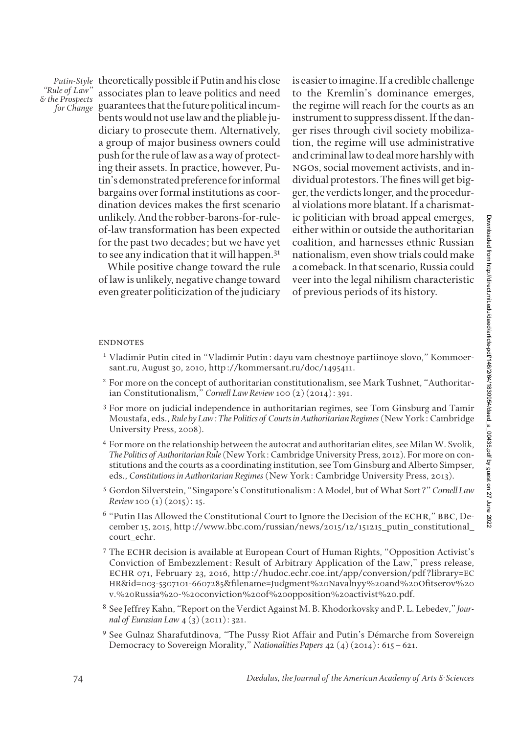*Putin-Style*  theoretically possible if Putin and his close associates plan to leave politics and need guarantees that the future political incumbents would not use law and the pliable judiciary to prosecute them. Alternatively, a group of major business owners could push for the rule of law as a way of protecting their assets. In practice, however, Putin's demonstrated preference for informal bargains over formal institutions as coordination devices makes the first scenario unlikely. And the robber-barons-for-ruleof-law transformation has been expected for the past two decades; but we have yet to see any indication that it will happen.<sup>31</sup>

> While positive change toward the rule of law is unlikely, negative change toward even greater politicization of the judiciary

is easier to imagine. If a credible challenge to the Kremlin's dominance emerges, the regime will reach for the courts as an instrument to suppress dissent. If the danger rises through civil society mobilization, the regime will use administrative and criminal law to deal more harshly with ngos, social movement activists, and individual protestors. The fines will get bigger, the verdicts longer, and the procedural violations more blatant. If a charismatic politician with broad appeal emerges, either within or outside the authoritarian coalition, and harnesses ethnic Russian nationalism, even show trials could make a comeback. In that scenario, Russia could veer into the legal nihilism characteristic of previous periods of its history.

## **ENDNOTES**

- <sup>1</sup> Vladimir Putin cited in "Vladimir Putin: dayu vam chestnoye partiinoye slovo," Kommoersant.ru, August 30, 2010, [http://kommersant.ru/doc/1495411.](http://kommersant.ru/doc/1495411)
- <sup>2</sup> For more on the concept of authoritarian constitutionalism, see Mark Tushnet, "Authoritarian Constitutionalism," *Cornell Law Review* 100 (2) (2014): 391.
- <sup>3</sup> For more on judicial independence in authoritarian regimes, see Tom Ginsburg and Tamir Moustafa, eds., *Rule by Law: The Politics of Courts in Authoritarian Regimes* (New York: Cambridge University Press, 2008).
- <sup>4</sup> For more on the relationship between the autocrat and authoritarian elites, see Milan W. Svolik, *The Politics of Authoritarian Rule* (New York: Cambridge University Press, 2012). For more on constitutions and the courts as a coordinating institution, see Tom Ginsburg and Alberto Simpser, eds., *Constitutions in Authoritarian Regimes* (New York: Cambridge University Press, 2013).
- <sup>5</sup> Gordon Silverstein, "Singapore's Constitutionalism: A Model, but of What Sort?" *Cornell Law Review* 100 (1) (2015): 15.
- <sup>6</sup> "Putin Has Allowed the Constitutional Court to Ignore the Decision of the ECHR," BBC, December 15, 2015, [http://www.bbc.com/russian/news/2015/12/151215\\_putin\\_constitutional\\_](http://www.bbc.com/russian/news/2015/12/151215_putin_constitutional_court_echr) [court\\_echr.](http://www.bbc.com/russian/news/2015/12/151215_putin_constitutional_court_echr)
- <sup>7</sup> The echr decision is available at European Court of Human Rights, "Opposition Activist's Conviction of Embezzlement: Result of Arbitrary Application of the Law," press release, echr 071, February 23, 2016, [http://hudoc.echr.coe.int/app/conversion/pdf?library=](http://hudoc.echr.coe.int/app/conversion/pdf?library=ECHR&id=003-5307101-6607285&filename=Judgment%2)EC HR[&id=003-5307101-6607285&filename=](http://hudoc.echr.coe.int/app/conversion/pdf?library=ECHR&id=003-5307101-6607285&filename=Judgment%2)Judgment%20Navalnyy%20and%20Ofitserov%20 v.%20R[ussia%20-%20conviction%20of%20opposition%20activist%20.pdf](http://hudoc.echr.coe.int/app/conversion/pdf?library=ECHR&id=003-5307101-6607285&filename=Judgment%2).
- <sup>8</sup> See Jeffrey Kahn, "Report on the Verdict Against M. B. Khodorkovsky and P. L. Lebedev," *Journal of Eurasian Law* 4 (3) (2011): 321.
- <sup>9</sup> See Gulnaz Sharafutdinova, "The Pussy Riot Affair and Putin's Démarche from Sovereign Democracy to Sovereign Morality," *Nationalities Papers* 42 (4) (2014): 615–621.